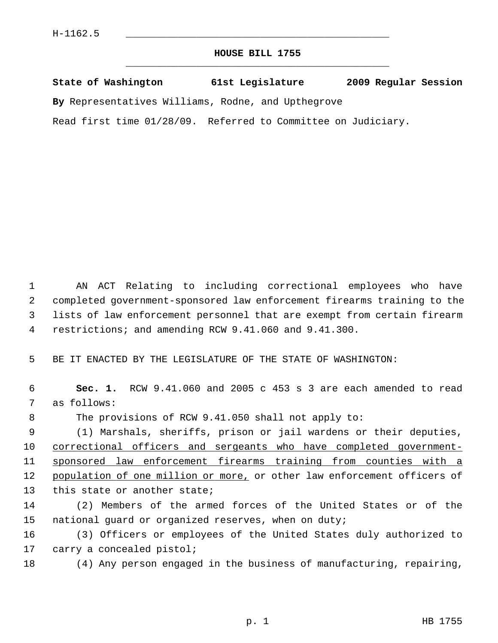## **HOUSE BILL 1755** \_\_\_\_\_\_\_\_\_\_\_\_\_\_\_\_\_\_\_\_\_\_\_\_\_\_\_\_\_\_\_\_\_\_\_\_\_\_\_\_\_\_\_\_\_

**State of Washington 61st Legislature 2009 Regular Session**

**By** Representatives Williams, Rodne, and Upthegrove

Read first time 01/28/09. Referred to Committee on Judiciary.

 1 AN ACT Relating to including correctional employees who have 2 completed government-sponsored law enforcement firearms training to the 3 lists of law enforcement personnel that are exempt from certain firearm 4 restrictions; and amending RCW 9.41.060 and 9.41.300.

5 BE IT ENACTED BY THE LEGISLATURE OF THE STATE OF WASHINGTON:

 6 **Sec. 1.** RCW 9.41.060 and 2005 c 453 s 3 are each amended to read 7 as follows:

8 The provisions of RCW 9.41.050 shall not apply to:

 9 (1) Marshals, sheriffs, prison or jail wardens or their deputies, 10 correctional officers and sergeants who have completed government-11 sponsored law enforcement firearms training from counties with a 12 population of one million or more, or other law enforcement officers of 13 this state or another state;

14 (2) Members of the armed forces of the United States or of the 15 national guard or organized reserves, when on duty;

16 (3) Officers or employees of the United States duly authorized to 17 carry a concealed pistol;

18 (4) Any person engaged in the business of manufacturing, repairing,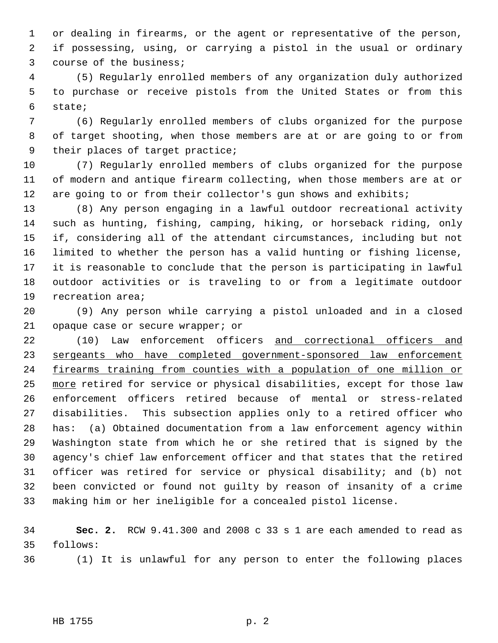1 or dealing in firearms, or the agent or representative of the person, 2 if possessing, using, or carrying a pistol in the usual or ordinary 3 course of the business;

 4 (5) Regularly enrolled members of any organization duly authorized 5 to purchase or receive pistols from the United States or from this 6 state;

 7 (6) Regularly enrolled members of clubs organized for the purpose 8 of target shooting, when those members are at or are going to or from 9 their places of target practice;

10 (7) Regularly enrolled members of clubs organized for the purpose 11 of modern and antique firearm collecting, when those members are at or 12 are going to or from their collector's gun shows and exhibits;

13 (8) Any person engaging in a lawful outdoor recreational activity 14 such as hunting, fishing, camping, hiking, or horseback riding, only 15 if, considering all of the attendant circumstances, including but not 16 limited to whether the person has a valid hunting or fishing license, 17 it is reasonable to conclude that the person is participating in lawful 18 outdoor activities or is traveling to or from a legitimate outdoor 19 recreation area;

20 (9) Any person while carrying a pistol unloaded and in a closed 21 opaque case or secure wrapper; or

22 (10) Law enforcement officers and correctional officers and 23 sergeants who have completed government-sponsored law enforcement 24 firearms training from counties with a population of one million or 25 more retired for service or physical disabilities, except for those law 26 enforcement officers retired because of mental or stress-related 27 disabilities. This subsection applies only to a retired officer who 28 has: (a) Obtained documentation from a law enforcement agency within 29 Washington state from which he or she retired that is signed by the 30 agency's chief law enforcement officer and that states that the retired 31 officer was retired for service or physical disability; and (b) not 32 been convicted or found not guilty by reason of insanity of a crime 33 making him or her ineligible for a concealed pistol license.

34 **Sec. 2.** RCW 9.41.300 and 2008 c 33 s 1 are each amended to read as 35 follows:

36 (1) It is unlawful for any person to enter the following places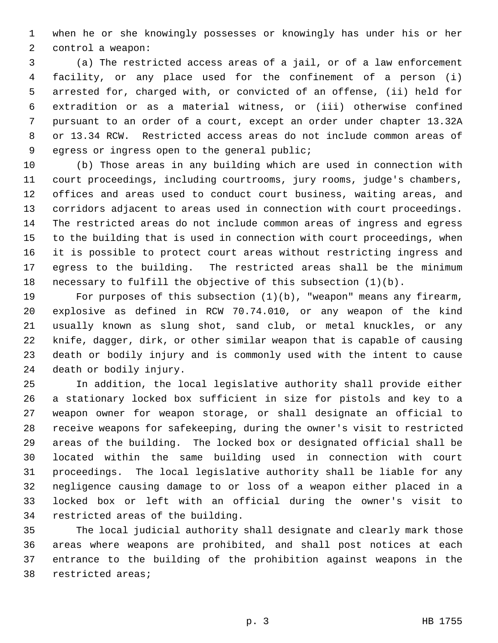1 when he or she knowingly possesses or knowingly has under his or her 2 control a weapon:

 3 (a) The restricted access areas of a jail, or of a law enforcement 4 facility, or any place used for the confinement of a person (i) 5 arrested for, charged with, or convicted of an offense, (ii) held for 6 extradition or as a material witness, or (iii) otherwise confined 7 pursuant to an order of a court, except an order under chapter 13.32A 8 or 13.34 RCW. Restricted access areas do not include common areas of 9 egress or ingress open to the general public;

10 (b) Those areas in any building which are used in connection with 11 court proceedings, including courtrooms, jury rooms, judge's chambers, 12 offices and areas used to conduct court business, waiting areas, and 13 corridors adjacent to areas used in connection with court proceedings. 14 The restricted areas do not include common areas of ingress and egress 15 to the building that is used in connection with court proceedings, when 16 it is possible to protect court areas without restricting ingress and 17 egress to the building. The restricted areas shall be the minimum 18 necessary to fulfill the objective of this subsection (1)(b).

19 For purposes of this subsection (1)(b), "weapon" means any firearm, 20 explosive as defined in RCW 70.74.010, or any weapon of the kind 21 usually known as slung shot, sand club, or metal knuckles, or any 22 knife, dagger, dirk, or other similar weapon that is capable of causing 23 death or bodily injury and is commonly used with the intent to cause 24 death or bodily injury.

25 In addition, the local legislative authority shall provide either 26 a stationary locked box sufficient in size for pistols and key to a 27 weapon owner for weapon storage, or shall designate an official to 28 receive weapons for safekeeping, during the owner's visit to restricted 29 areas of the building. The locked box or designated official shall be 30 located within the same building used in connection with court 31 proceedings. The local legislative authority shall be liable for any 32 negligence causing damage to or loss of a weapon either placed in a 33 locked box or left with an official during the owner's visit to 34 restricted areas of the building.

35 The local judicial authority shall designate and clearly mark those 36 areas where weapons are prohibited, and shall post notices at each 37 entrance to the building of the prohibition against weapons in the 38 restricted areas;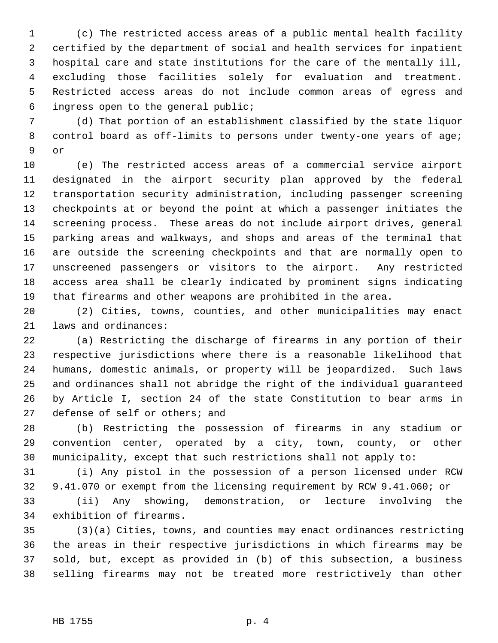1 (c) The restricted access areas of a public mental health facility 2 certified by the department of social and health services for inpatient 3 hospital care and state institutions for the care of the mentally ill, 4 excluding those facilities solely for evaluation and treatment. 5 Restricted access areas do not include common areas of egress and 6 ingress open to the general public;

 7 (d) That portion of an establishment classified by the state liquor 8 control board as off-limits to persons under twenty-one years of age; 9 or

10 (e) The restricted access areas of a commercial service airport 11 designated in the airport security plan approved by the federal 12 transportation security administration, including passenger screening 13 checkpoints at or beyond the point at which a passenger initiates the 14 screening process. These areas do not include airport drives, general 15 parking areas and walkways, and shops and areas of the terminal that 16 are outside the screening checkpoints and that are normally open to 17 unscreened passengers or visitors to the airport. Any restricted 18 access area shall be clearly indicated by prominent signs indicating 19 that firearms and other weapons are prohibited in the area.

20 (2) Cities, towns, counties, and other municipalities may enact 21 laws and ordinances:

22 (a) Restricting the discharge of firearms in any portion of their 23 respective jurisdictions where there is a reasonable likelihood that 24 humans, domestic animals, or property will be jeopardized. Such laws 25 and ordinances shall not abridge the right of the individual guaranteed 26 by Article I, section 24 of the state Constitution to bear arms in 27 defense of self or others; and

28 (b) Restricting the possession of firearms in any stadium or 29 convention center, operated by a city, town, county, or other 30 municipality, except that such restrictions shall not apply to:

31 (i) Any pistol in the possession of a person licensed under RCW 32 9.41.070 or exempt from the licensing requirement by RCW 9.41.060; or

33 (ii) Any showing, demonstration, or lecture involving the 34 exhibition of firearms.

35 (3)(a) Cities, towns, and counties may enact ordinances restricting 36 the areas in their respective jurisdictions in which firearms may be 37 sold, but, except as provided in (b) of this subsection, a business 38 selling firearms may not be treated more restrictively than other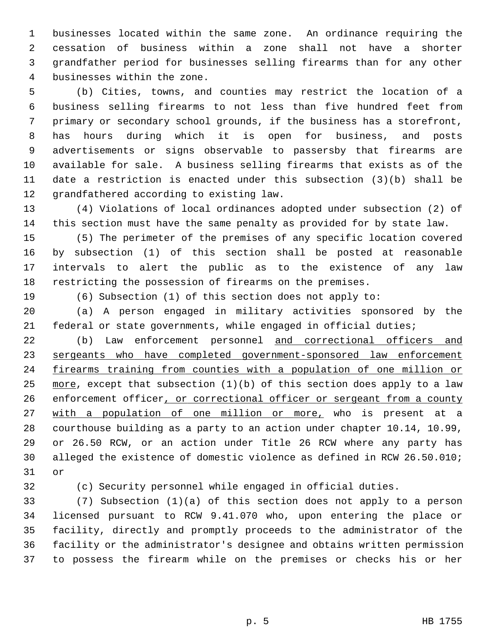1 businesses located within the same zone. An ordinance requiring the 2 cessation of business within a zone shall not have a shorter 3 grandfather period for businesses selling firearms than for any other 4 businesses within the zone.

 5 (b) Cities, towns, and counties may restrict the location of a 6 business selling firearms to not less than five hundred feet from 7 primary or secondary school grounds, if the business has a storefront, 8 has hours during which it is open for business, and posts 9 advertisements or signs observable to passersby that firearms are 10 available for sale. A business selling firearms that exists as of the 11 date a restriction is enacted under this subsection (3)(b) shall be 12 grandfathered according to existing law.

13 (4) Violations of local ordinances adopted under subsection (2) of 14 this section must have the same penalty as provided for by state law.

15 (5) The perimeter of the premises of any specific location covered 16 by subsection (1) of this section shall be posted at reasonable 17 intervals to alert the public as to the existence of any law 18 restricting the possession of firearms on the premises.

19 (6) Subsection (1) of this section does not apply to:

20 (a) A person engaged in military activities sponsored by the 21 federal or state governments, while engaged in official duties;

22 (b) Law enforcement personnel and correctional officers and 23 sergeants who have completed government-sponsored law enforcement 24 firearms training from counties with a population of one million or 25 more, except that subsection  $(1)(b)$  of this section does apply to a law 26 enforcement officer, or correctional officer or sergeant from a county 27 with a population of one million or more, who is present at a 28 courthouse building as a party to an action under chapter 10.14, 10.99, 29 or 26.50 RCW, or an action under Title 26 RCW where any party has 30 alleged the existence of domestic violence as defined in RCW 26.50.010; 31 or

32 (c) Security personnel while engaged in official duties.

33 (7) Subsection (1)(a) of this section does not apply to a person 34 licensed pursuant to RCW 9.41.070 who, upon entering the place or 35 facility, directly and promptly proceeds to the administrator of the 36 facility or the administrator's designee and obtains written permission 37 to possess the firearm while on the premises or checks his or her